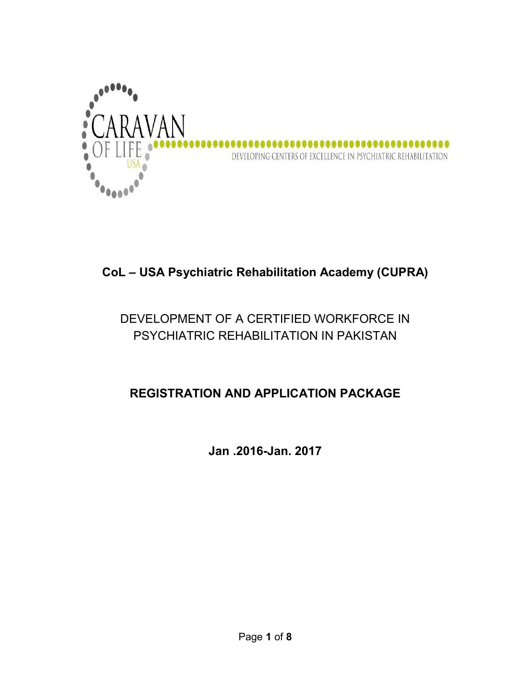

# CoL – USA Psychiatric Rehabilitation Academy (CUPRA)

# DEVELOPMENT OF A CERTIFIED WORKFORCE IN PSYCHIATRIC REHABILITATION IN PAKISTAN

## REGISTRATION AND APPLICATION PACKAGE

Jan .2016-Jan. 2017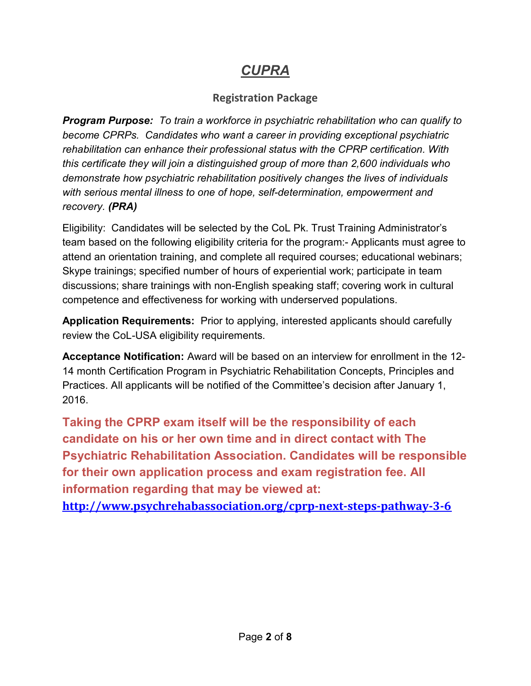# CUPRA

## Registration Package

Program Purpose: To train a workforce in psychiatric rehabilitation who can qualify to become CPRPs. Candidates who want a career in providing exceptional psychiatric rehabilitation can enhance their professional status with the CPRP certification. With this certificate they will join a distinguished group of more than 2,600 individuals who demonstrate how psychiatric rehabilitation positively changes the lives of individuals with serious mental illness to one of hope, self-determination, empowerment and recovery. (PRA)

Eligibility: Candidates will be selected by the CoL Pk. Trust Training Administrator's team based on the following eligibility criteria for the program:- Applicants must agree to attend an orientation training, and complete all required courses; educational webinars; Skype trainings; specified number of hours of experiential work; participate in team discussions; share trainings with non-English speaking staff; covering work in cultural competence and effectiveness for working with underserved populations.

Application Requirements: Prior to applying, interested applicants should carefully review the CoL-USA eligibility requirements.

Acceptance Notification: Award will be based on an interview for enrollment in the 12- 14 month Certification Program in Psychiatric Rehabilitation Concepts, Principles and Practices. All applicants will be notified of the Committee's decision after January 1, 2016.

Taking the CPRP exam itself will be the responsibility of each candidate on his or her own time and in direct contact with The Psychiatric Rehabilitation Association. Candidates will be responsible for their own application process and exam registration fee. All information regarding that may be viewed at:

http://www.psychrehabassociation.org/cprp-next-steps-pathway-3-6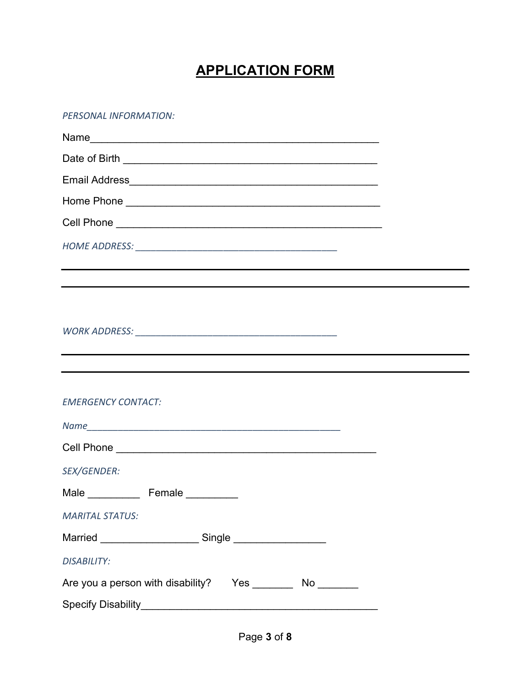# APPLICATION FORM

#### PERSONAL INFORMATION:

| <b>EMERGENCY CONTACT:</b>                                  |  |  |  |  |
|------------------------------------------------------------|--|--|--|--|
|                                                            |  |  |  |  |
|                                                            |  |  |  |  |
| SEX/GENDER:                                                |  |  |  |  |
| Male Female                                                |  |  |  |  |
| <b>MARITAL STATUS:</b>                                     |  |  |  |  |
|                                                            |  |  |  |  |
| <b>DISABILITY:</b>                                         |  |  |  |  |
| Are you a person with disability? Yes _________ No _______ |  |  |  |  |
|                                                            |  |  |  |  |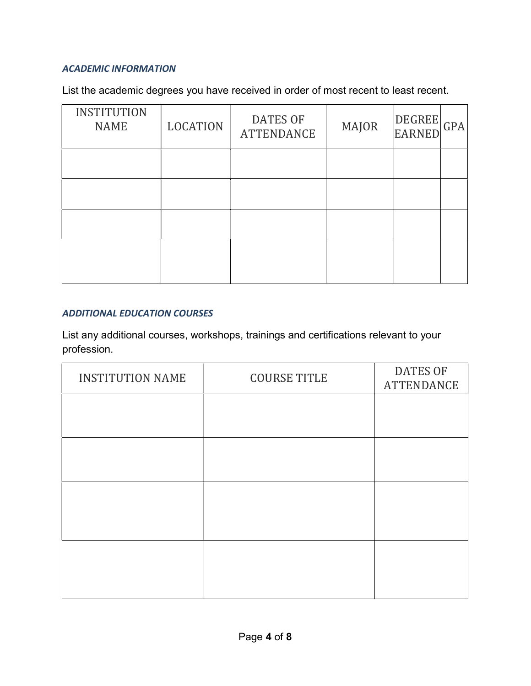#### ACADEMIC INFORMATION

List the academic degrees you have received in order of most recent to least recent.

| <b>INSTITUTION</b><br><b>NAME</b> | <b>LOCATION</b> | <b>DATES OF</b><br><b>ATTENDANCE</b> | <b>MAJOR</b> | <b>DEGREE</b><br><b>EARNED</b> | GPA |
|-----------------------------------|-----------------|--------------------------------------|--------------|--------------------------------|-----|
|                                   |                 |                                      |              |                                |     |
|                                   |                 |                                      |              |                                |     |
|                                   |                 |                                      |              |                                |     |
|                                   |                 |                                      |              |                                |     |

#### ADDITIONAL EDUCATION COURSES

List any additional courses, workshops, trainings and certifications relevant to your profession.

| <b>INSTITUTION NAME</b> | <b>COURSE TITLE</b> | <b>DATES OF</b><br><b>ATTENDANCE</b> |
|-------------------------|---------------------|--------------------------------------|
|                         |                     |                                      |
|                         |                     |                                      |
|                         |                     |                                      |
|                         |                     |                                      |
|                         |                     |                                      |
|                         |                     |                                      |
|                         |                     |                                      |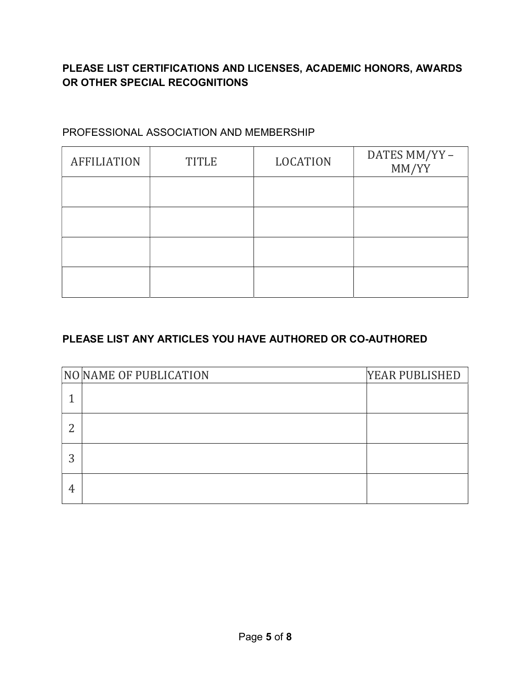## PLEASE LIST CERTIFICATIONS AND LICENSES, ACADEMIC HONORS, AWARDS OR OTHER SPECIAL RECOGNITIONS

## PROFESSIONAL ASSOCIATION AND MEMBERSHIP

| <b>AFFILIATION</b> | <b>TITLE</b> | <b>LOCATION</b> | DATES MM/YY-<br>MM/YY |
|--------------------|--------------|-----------------|-----------------------|
|                    |              |                 |                       |
|                    |              |                 |                       |
|                    |              |                 |                       |
|                    |              |                 |                       |

## PLEASE LIST ANY ARTICLES YOU HAVE AUTHORED OR CO-AUTHORED

|   | NO NAME OF PUBLICATION | YEAR PUBLISHED |
|---|------------------------|----------------|
|   |                        |                |
|   |                        |                |
|   |                        |                |
| 4 |                        |                |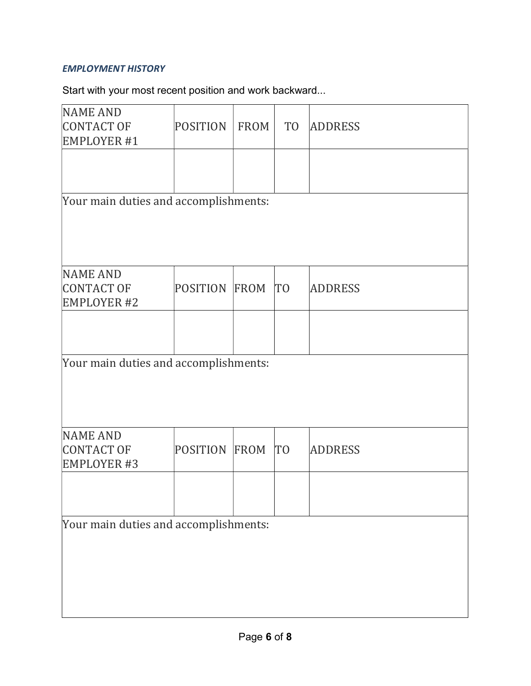## EMPLOYMENT HISTORY

Start with your most recent position and work backward...

| <b>NAME AND</b>                       |                 |      |                |                |  |  |
|---------------------------------------|-----------------|------|----------------|----------------|--|--|
| CONTACT OF                            | <b>POSITION</b> | FROM | T <sub>O</sub> | <b>ADDRESS</b> |  |  |
| EMPLOYER #1                           |                 |      |                |                |  |  |
|                                       |                 |      |                |                |  |  |
|                                       |                 |      |                |                |  |  |
|                                       |                 |      |                |                |  |  |
| Your main duties and accomplishments: |                 |      |                |                |  |  |
|                                       |                 |      |                |                |  |  |
|                                       |                 |      |                |                |  |  |
|                                       |                 |      |                |                |  |  |
|                                       |                 |      |                |                |  |  |
|                                       |                 |      |                |                |  |  |
| <b>NAME AND</b>                       |                 |      |                |                |  |  |
| CONTACT OF                            | POSITION        | FROM | T <sub>0</sub> | <b>ADDRESS</b> |  |  |
| <b>EMPLOYER #2</b>                    |                 |      |                |                |  |  |
|                                       |                 |      |                |                |  |  |
|                                       |                 |      |                |                |  |  |
|                                       |                 |      |                |                |  |  |
| Your main duties and accomplishments: |                 |      |                |                |  |  |
|                                       |                 |      |                |                |  |  |
|                                       |                 |      |                |                |  |  |
|                                       |                 |      |                |                |  |  |
|                                       |                 |      |                |                |  |  |
| NAME AND                              |                 |      |                |                |  |  |
| CONTACT OF                            | POSITION        | FROM | T <sub>0</sub> | <b>ADDRESS</b> |  |  |
|                                       |                 |      |                |                |  |  |
| <b>EMPLOYER #3</b>                    |                 |      |                |                |  |  |
|                                       |                 |      |                |                |  |  |
|                                       |                 |      |                |                |  |  |
|                                       |                 |      |                |                |  |  |
| Your main duties and accomplishments: |                 |      |                |                |  |  |
|                                       |                 |      |                |                |  |  |
|                                       |                 |      |                |                |  |  |
|                                       |                 |      |                |                |  |  |
|                                       |                 |      |                |                |  |  |
|                                       |                 |      |                |                |  |  |
|                                       |                 |      |                |                |  |  |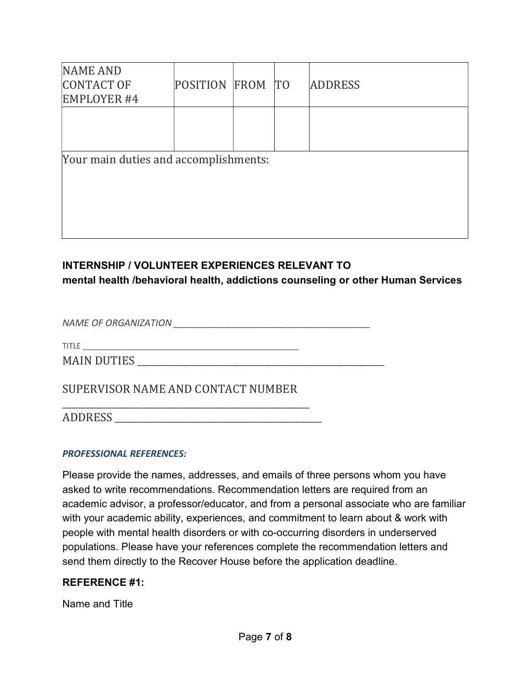| NAME AND<br>CONTACT OF<br><b>EMPLOYER #4</b> | POSITION FROM TO |  | <b>ADDRESS</b> |
|----------------------------------------------|------------------|--|----------------|
|                                              |                  |  |                |
| Your main duties and accomplishments:        |                  |  |                |
|                                              |                  |  |                |

## INTERNSHIP / VOLUNTEER EXPERIENCES RELEVANT TO mental health /behavioral health, addictions counseling or other Human Services

NAME OF ORGANIZATION \_\_\_\_\_\_\_\_\_\_\_\_\_\_\_\_\_\_\_\_\_\_\_\_\_\_\_\_\_\_\_\_\_\_\_\_\_\_

TITLE \_\_\_\_\_\_\_\_\_\_\_\_\_\_\_\_\_\_\_\_\_\_\_\_\_\_\_\_\_\_\_\_\_\_\_\_\_\_\_\_\_\_\_\_\_\_\_\_\_\_

MAIN DUTIES \_\_\_\_\_\_\_\_\_\_\_\_\_\_\_\_\_\_\_\_\_\_\_\_\_\_\_\_\_\_\_\_\_\_\_\_\_\_\_\_\_\_\_\_\_\_\_\_\_\_\_\_\_\_\_

SUPERVISOR NAME AND CONTACT NUMBER

\_\_\_\_\_\_\_\_\_\_\_\_\_\_\_\_\_\_\_\_\_\_\_\_\_\_\_\_\_\_\_\_\_\_\_\_\_\_\_\_\_\_\_\_\_\_\_\_\_\_\_\_\_\_\_ ADDRESS \_\_\_\_\_\_\_\_\_\_\_\_\_\_\_\_\_\_\_\_\_\_\_\_\_\_\_\_\_\_\_\_\_\_\_\_\_\_\_\_\_\_\_\_\_\_

#### PROFESSIONAL REFERENCES:

Please provide the names, addresses, and emails of three persons whom you have asked to write recommendations. Recommendation letters are required from an academic advisor, a professor/educator, and from a personal associate who are familiar with your academic ability, experiences, and commitment to learn about & work with people with mental health disorders or with co-occurring disorders in underserved populations. Please have your references complete the recommendation letters and send them directly to the Recover House before the application deadline.

#### REFERENCE #1:

Name and Title